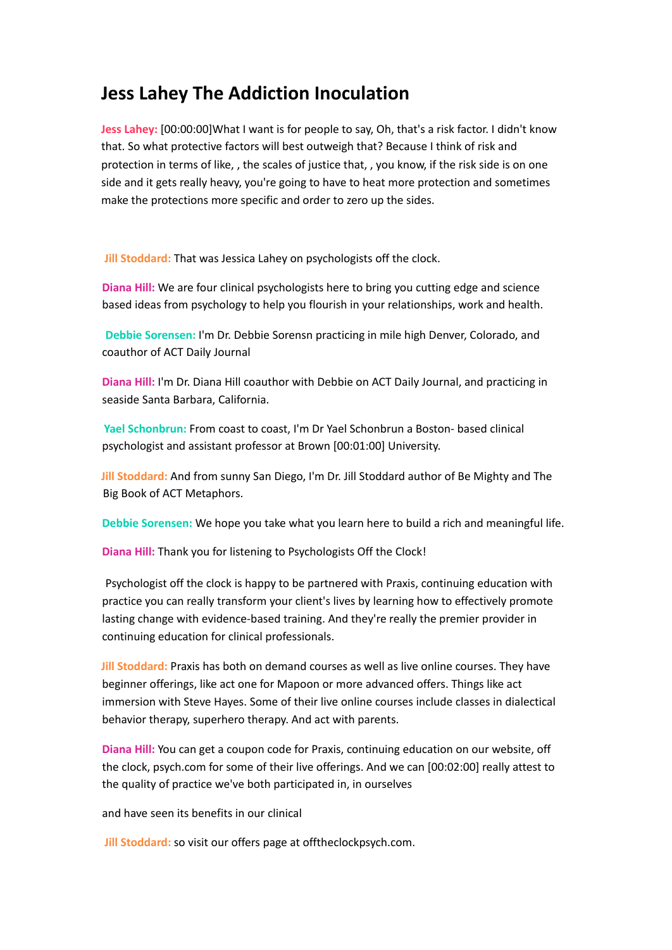# **Jess Lahey The Addiction Inoculation**

**Jess Lahey:** [00:00:00]What I want is for people to say, Oh, that's a risk factor. I didn't know that. So what protective factors will best outweigh that? Because I think of risk and protection in terms of like, , the scales of justice that, , you know, if the risk side is on one side and it gets really heavy, you're going to have to heat more protection and sometimes make the protections more specific and order to zero up the sides.

**Jill Stoddard:** That was Jessica Lahey on psychologists off the clock.

**Diana Hill:** We are four clinical psychologists here to bring you cutting edge and science based ideas from psychology to help you flourish in your relationships, work and health.

**Debbie Sorensen:** I'm Dr. Debbie Sorensn practicing in mile high Denver, Colorado, and coauthor of ACT Daily Journal

**Diana Hill:** I'm Dr. Diana Hill coauthor with Debbie on ACT Daily Journal, and practicing in seaside Santa Barbara, California.

**Yael Schonbrun:** From coast to coast, I'm Dr Yael Schonbrun a Boston- based clinical psychologist and assistant professor at Brown [00:01:00] University.

**Jill Stoddard:** And from sunny San Diego, I'm Dr. Jill Stoddard author of Be Mighty and The Big Book of ACT Metaphors.

**Debbie Sorensen:** We hope you take what you learn here to build a rich and meaningful life.

**Diana Hill:** Thank you for listening to Psychologists Off the Clock!

Psychologist off the clock is happy to be partnered with Praxis, continuing education with practice you can really transform your client's lives by learning how to effectively promote lasting change with evidence-based training. And they're really the premier provider in continuing education for clinical professionals.

**Jill Stoddard:** Praxis has both on demand courses as well as live online courses. They have beginner offerings, like act one for Mapoon or more advanced offers. Things like act immersion with Steve Hayes. Some of their live online courses include classes in dialectical behavior therapy, superhero therapy. And act with parents.

**Diana Hill:** You can get a coupon code for Praxis, continuing education on our website, off the clock, psych.com for some of their live offerings. And we can [00:02:00] really attest to the quality of practice we've both participated in, in ourselves

and have seen its benefits in our clinical

**Jill Stoddard:** so visit our offers page at offtheclockpsych.com.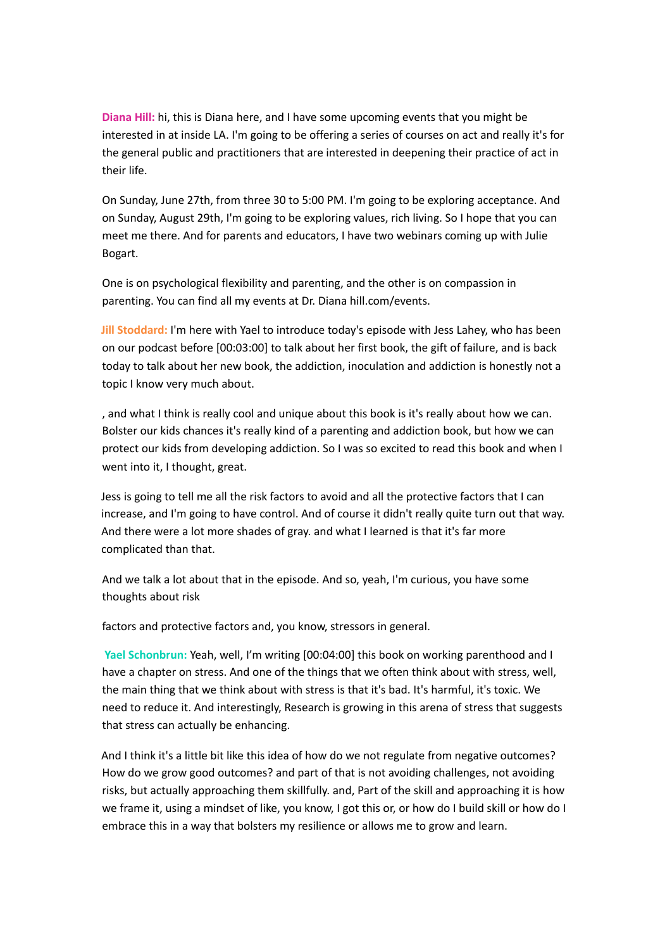**Diana Hill:** hi, this is Diana here, and I have some upcoming events that you might be interested in at inside LA. I'm going to be offering a series of courses on act and really it's for the general public and practitioners that are interested in deepening their practice of act in their life.

On Sunday, June 27th, from three 30 to 5:00 PM. I'm going to be exploring acceptance. And on Sunday, August 29th, I'm going to be exploring values, rich living. So I hope that you can meet me there. And for parents and educators, I have two webinars coming up with Julie Bogart.

One is on psychological flexibility and parenting, and the other is on compassion in parenting. You can find all my events at Dr. Diana hill.com/events.

**Jill Stoddard:** I'm here with Yael to introduce today's episode with Jess Lahey, who has been on our podcast before [00:03:00] to talk about her first book, the gift of failure, and is back today to talk about her new book, the addiction, inoculation and addiction is honestly not a topic I know very much about.

, and what I think is really cool and unique about this book is it's really about how we can. Bolster our kids chances it's really kind of a parenting and addiction book, but how we can protect our kids from developing addiction. So I was so excited to read this book and when I went into it, I thought, great.

Jess is going to tell me all the risk factors to avoid and all the protective factors that I can increase, and I'm going to have control. And of course it didn't really quite turn out that way. And there were a lot more shades of gray. and what I learned is that it's far more complicated than that.

And we talk a lot about that in the episode. And so, yeah, I'm curious, you have some thoughts about risk

factors and protective factors and, you know, stressors in general.

**Yael Schonbrun:** Yeah, well, I'm writing [00:04:00] this book on working parenthood and I have a chapter on stress. And one of the things that we often think about with stress, well, the main thing that we think about with stress is that it's bad. It's harmful, it's toxic. We need to reduce it. And interestingly, Research is growing in this arena of stress that suggests that stress can actually be enhancing.

And I think it's a little bit like this idea of how do we not regulate from negative outcomes? How do we grow good outcomes? and part of that is not avoiding challenges, not avoiding risks, but actually approaching them skillfully. and, Part of the skill and approaching it is how we frame it, using a mindset of like, you know, I got this or, or how do I build skill or how do I embrace this in a way that bolsters my resilience or allows me to grow and learn.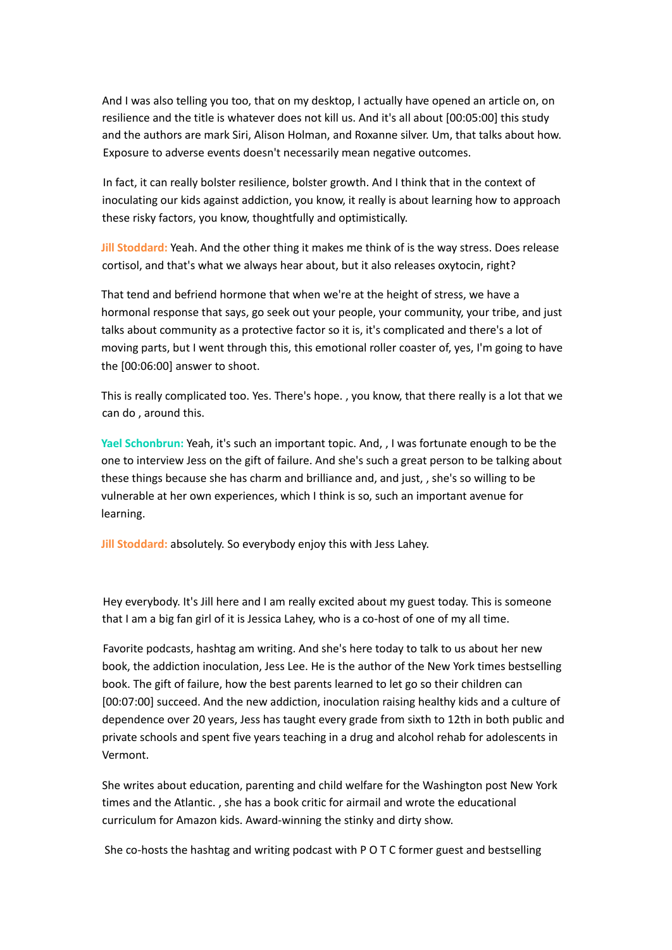And I was also telling you too, that on my desktop, I actually have opened an article on, on resilience and the title is whatever does not kill us. And it's all about [00:05:00] this study and the authors are mark Siri, Alison Holman, and Roxanne silver. Um, that talks about how. Exposure to adverse events doesn't necessarily mean negative outcomes.

In fact, it can really bolster resilience, bolster growth. And I think that in the context of inoculating our kids against addiction, you know, it really is about learning how to approach these risky factors, you know, thoughtfully and optimistically.

**Jill Stoddard:** Yeah. And the other thing it makes me think of is the way stress. Does release cortisol, and that's what we always hear about, but it also releases oxytocin, right?

That tend and befriend hormone that when we're at the height of stress, we have a hormonal response that says, go seek out your people, your community, your tribe, and just talks about community as a protective factor so it is, it's complicated and there's a lot of moving parts, but I went through this, this emotional roller coaster of, yes, I'm going to have the [00:06:00] answer to shoot.

This is really complicated too. Yes. There's hope. , you know, that there really is a lot that we can do , around this.

**Yael Schonbrun:** Yeah, it's such an important topic. And, , I was fortunate enough to be the one to interview Jess on the gift of failure. And she's such a great person to be talking about these things because she has charm and brilliance and, and just, , she's so willing to be vulnerable at her own experiences, which I think is so, such an important avenue for learning.

**Jill Stoddard:** absolutely. So everybody enjoy this with Jess Lahey.

Hey everybody. It's Jill here and I am really excited about my guest today. This is someone that I am a big fan girl of it is Jessica Lahey, who is a co-host of one of my all time.

Favorite podcasts, hashtag am writing. And she's here today to talk to us about her new book, the addiction inoculation, Jess Lee. He is the author of the New York times bestselling book. The gift of failure, how the best parents learned to let go so their children can [00:07:00] succeed. And the new addiction, inoculation raising healthy kids and a culture of dependence over 20 years, Jess has taught every grade from sixth to 12th in both public and private schools and spent five years teaching in a drug and alcohol rehab for adolescents in Vermont.

She writes about education, parenting and child welfare for the Washington post New York times and the Atlantic. , she has a book critic for airmail and wrote the educational curriculum for Amazon kids. Award-winning the stinky and dirty show.

She co-hosts the hashtag and writing podcast with P O T C former guest and bestselling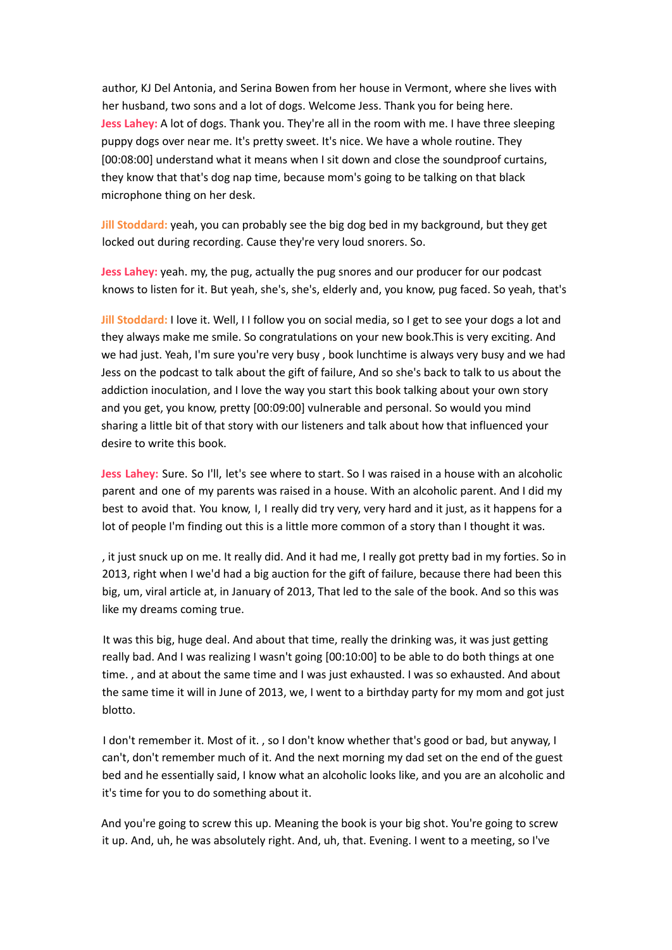author, KJ Del Antonia, and Serina Bowen from her house in Vermont, where she lives with her husband, two sons and a lot of dogs. Welcome Jess. Thank you for being here. **Jess Lahey:** A lot of dogs. Thank you. They're all in the room with me. I have three sleeping puppy dogs over near me. It's pretty sweet. It's nice. We have a whole routine. They [00:08:00] understand what it means when I sit down and close the soundproof curtains, they know that that's dog nap time, because mom's going to be talking on that black microphone thing on her desk.

**Jill Stoddard:** yeah, you can probably see the big dog bed in my background, but they get locked out during recording. Cause they're very loud snorers. So.

**Jess Lahey:** yeah. my, the pug, actually the pug snores and our producer for our podcast knows to listen for it. But yeah, she's, she's, elderly and, you know, pug faced. So yeah, that's

**Jill Stoddard:** I love it. Well, I I follow you on social media, so I get to see your dogs a lot and they always make me smile. So congratulations on your new book.This is very exciting. And we had just. Yeah, I'm sure you're very busy, book lunchtime is always very busy and we had Jess on the podcast to talk about the gift of failure, And so she's back to talk to us about the addiction inoculation, and I love the way you start this book talking about your own story and you get, you know, pretty [00:09:00] vulnerable and personal. So would you mind sharing a little bit of that story with our listeners and talk about how that influenced your desire to write this book.

**Jess Lahey:** Sure. So I'll, let's see where to start. So I was raised in a house with an alcoholic parent and one of my parents was raised in a house. With an alcoholic parent. And I did my best to avoid that. You know, I, I really did try very, very hard and it just, as it happens for a lot of people I'm finding out this is a little more common of a story than I thought it was.

, it just snuck up on me. It really did. And it had me, I really got pretty bad in my forties. So in 2013, right when I we'd had a big auction for the gift of failure, because there had been this big, um, viral article at, in January of 2013, That led to the sale of the book. And so this was like my dreams coming true.

It was this big, huge deal. And about that time, really the drinking was, it was just getting really bad. And I was realizing I wasn't going [00:10:00] to be able to do both things at one time. , and at about the same time and I was just exhausted. I was so exhausted. And about the same time it will in June of 2013, we, I went to a birthday party for my mom and got just blotto.

I don't remember it. Most of it. , so I don't know whether that's good or bad, but anyway, I can't, don't remember much of it. And the next morning my dad set on the end of the guest bed and he essentially said, I know what an alcoholic looks like, and you are an alcoholic and it's time for you to do something about it.

And you're going to screw this up. Meaning the book is your big shot. You're going to screw it up. And, uh, he was absolutely right. And, uh, that. Evening. I went to a meeting, so I've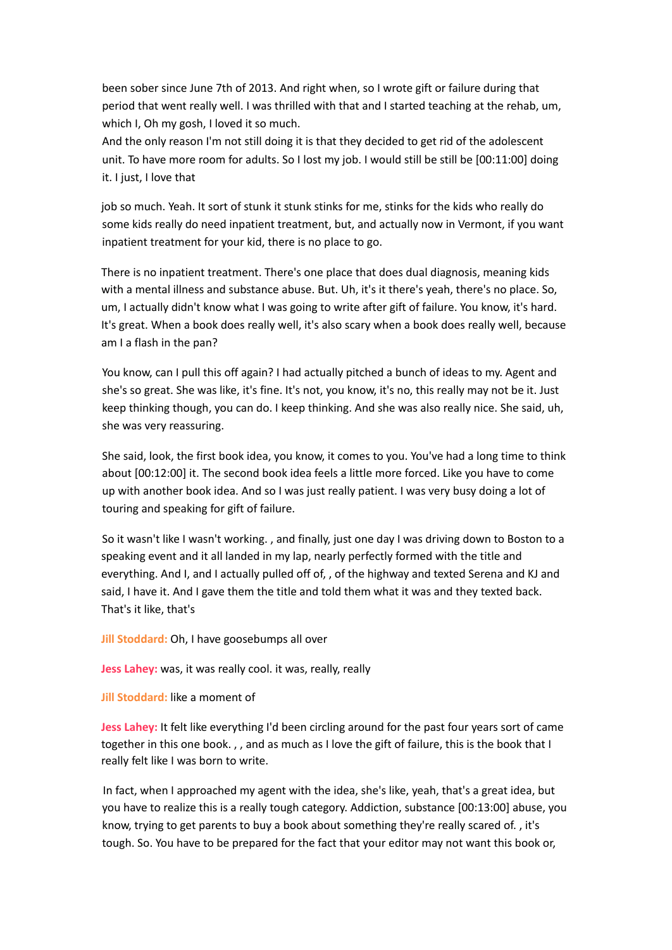been sober since June 7th of 2013. And right when, so I wrote gift or failure during that period that went really well. I was thrilled with that and I started teaching at the rehab, um, which I, Oh my gosh, I loved it so much.

And the only reason I'm not still doing it is that they decided to get rid of the adolescent unit. To have more room for adults. So I lost my job. I would still be still be [00:11:00] doing it. I just, I love that

job so much. Yeah. It sort of stunk it stunk stinks for me, stinks for the kids who really do some kids really do need inpatient treatment, but, and actually now in Vermont, if you want inpatient treatment for your kid, there is no place to go.

There is no inpatient treatment. There's one place that does dual diagnosis, meaning kids with a mental illness and substance abuse. But. Uh, it's it there's yeah, there's no place. So, um, I actually didn't know what I was going to write after gift of failure. You know, it's hard. It's great. When a book does really well, it's also scary when a book does really well, because am I a flash in the pan?

You know, can I pull this off again? I had actually pitched a bunch of ideas to my. Agent and she's so great. She was like, it's fine. It's not, you know, it's no, this really may not be it. Just keep thinking though, you can do. I keep thinking. And she was also really nice. She said, uh, she was very reassuring.

She said, look, the first book idea, you know, it comes to you. You've had a long time to think about [00:12:00] it. The second book idea feels a little more forced. Like you have to come up with another book idea. And so I was just really patient. I was very busy doing a lot of touring and speaking for gift of failure.

So it wasn't like I wasn't working. , and finally, just one day I was driving down to Boston to a speaking event and it all landed in my lap, nearly perfectly formed with the title and everything. And I, and I actually pulled off of, , of the highway and texted Serena and KJ and said, I have it. And I gave them the title and told them what it was and they texted back. That's it like, that's

**Jill Stoddard:** Oh, I have goosebumps all over

**Jess Lahey:** was, it was really cool. it was, really, really

**Jill Stoddard:** like a moment of

**Jess Lahey:** It felt like everything I'd been circling around for the past four years sort of came together in this one book. , , and as much as I love the gift of failure, this is the book that I really felt like I was born to write.

In fact, when I approached my agent with the idea, she's like, yeah, that's a great idea, but you have to realize this is a really tough category. Addiction, substance [00:13:00] abuse, you know, trying to get parents to buy a book about something they're really scared of. , it's tough. So. You have to be prepared for the fact that your editor may not want this book or,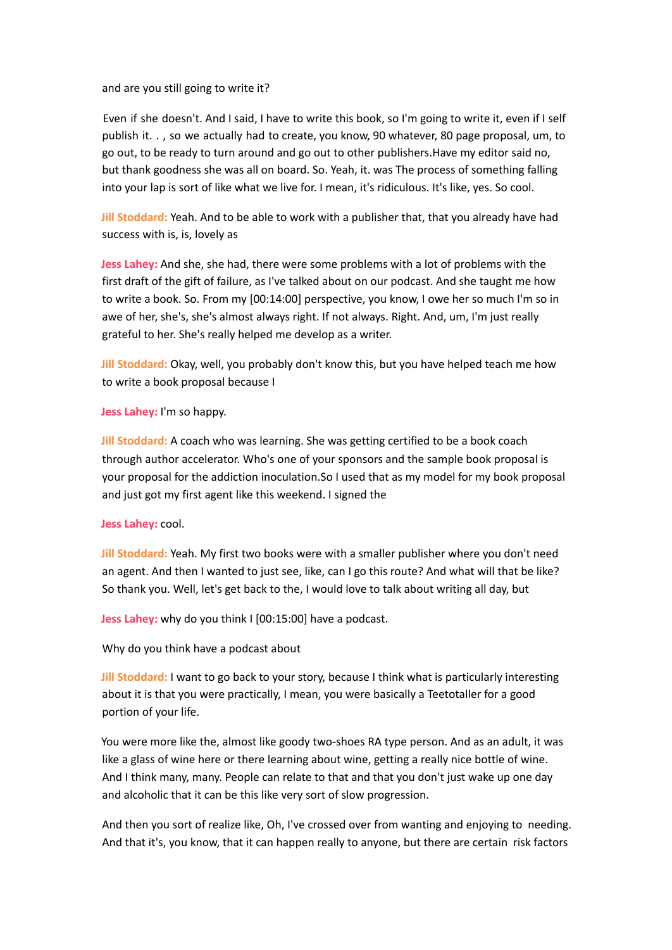and are you still going to write it?

Even if she doesn't. And I said, I have to write this book, so I'm going to write it, even if I self publish it. . , so we actually had to create, you know, 90 whatever, 80 page proposal, um, to go out, to be ready to turn around and go out to other publishers.Have my editor said no, but thank goodness she was all on board. So. Yeah, it. was The process of something falling into your lap is sort of like what we live for. I mean, it's ridiculous. It's like, yes. So cool.

**Jill Stoddard:** Yeah. And to be able to work with a publisher that, that you already have had success with is, is, lovely as

**Jess Lahey:** And she, she had, there were some problems with a lot of problems with the first draft of the gift of failure, as I've talked about on our podcast. And she taught me how to write a book. So. From my [00:14:00] perspective, you know, I owe her so much I'm so in awe of her, she's, she's almost always right. If not always. Right. And, um, I'm just really grateful to her. She's really helped me develop as a writer.

**Jill Stoddard:** Okay, well, you probably don't know this, but you have helped teach me how to write a book proposal because I

**Jess Lahey:** I'm so happy.

**Jill Stoddard:** A coach who was learning. She was getting certified to be a book coach through author accelerator. Who's one of your sponsors and the sample book proposal is your proposal for the addiction inoculation.So I used that as my model for my book proposal and just got my first agent like this weekend. I signed the

**Jess Lahey:** cool.

**Jill Stoddard:** Yeah. My first two books were with a smaller publisher where you don't need an agent. And then I wanted to just see, like, can I go this route? And what will that be like? So thank you. Well, let's get back to the, I would love to talk about writing all day, but

**Jess Lahey:** why do you think I [00:15:00] have a podcast.

Why do you think have a podcast about

**Jill Stoddard:** I want to go back to your story, because I think what is particularly interesting about it is that you were practically, I mean, you were basically a Teetotaller for a good portion of your life.

You were more like the, almost like goody two-shoes RA type person. And as an adult, it was like a glass of wine here or there learning about wine, getting a really nice bottle of wine. And I think many, many. People can relate to that and that you don't just wake up one day and alcoholic that it can be this like very sort of slow progression.

And then you sort of realize like, Oh, I've crossed over from wanting and enjoying to needing. And that it's, you know, that it can happen really to anyone, but there are certain risk factors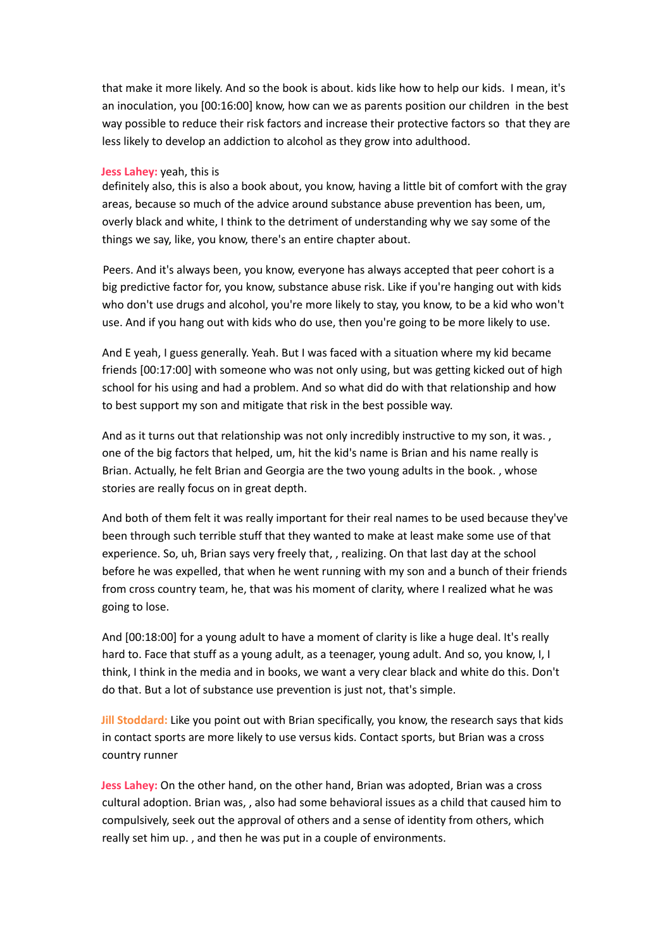that make it more likely. And so the book is about. kids like how to help our kids. I mean, it's an inoculation, you [00:16:00] know, how can we as parents position our children in the best way possible to reduce their risk factors and increase their protective factors so that they are less likely to develop an addiction to alcohol as they grow into adulthood.

## **Jess Lahey:** yeah, this is

definitely also, this is also a book about, you know, having a little bit of comfort with the gray areas, because so much of the advice around substance abuse prevention has been, um, overly black and white, I think to the detriment of understanding why we say some of the things we say, like, you know, there's an entire chapter about.

Peers. And it's always been, you know, everyone has always accepted that peer cohort is a big predictive factor for, you know, substance abuse risk. Like if you're hanging out with kids who don't use drugs and alcohol, you're more likely to stay, you know, to be a kid who won't use. And if you hang out with kids who do use, then you're going to be more likely to use.

And E yeah, I guess generally. Yeah. But I was faced with a situation where my kid became friends [00:17:00] with someone who was not only using, but was getting kicked out of high school for his using and had a problem. And so what did do with that relationship and how to best support my son and mitigate that risk in the best possible way.

And as it turns out that relationship was not only incredibly instructive to my son, it was., one of the big factors that helped, um, hit the kid's name is Brian and his name really is Brian. Actually, he felt Brian and Georgia are the two young adults in the book. , whose stories are really focus on in great depth.

And both of them felt it was really important for their real names to be used because they've been through such terrible stuff that they wanted to make at least make some use of that experience. So, uh, Brian says very freely that, , realizing. On that last day at the school before he was expelled, that when he went running with my son and a bunch of their friends from cross country team, he, that was his moment of clarity, where I realized what he was going to lose.

And [00:18:00] for a young adult to have a moment of clarity is like a huge deal. It's really hard to. Face that stuff as a young adult, as a teenager, young adult. And so, you know, I, I think, I think in the media and in books, we want a very clear black and white do this. Don't do that. But a lot of substance use prevention is just not, that's simple.

**Jill Stoddard:** Like you point out with Brian specifically, you know, the research says that kids in contact sports are more likely to use versus kids. Contact sports, but Brian was a cross country runner

**Jess Lahey:** On the other hand, on the other hand, Brian was adopted, Brian was a cross cultural adoption. Brian was, , also had some behavioral issues as a child that caused him to compulsively, seek out the approval of others and a sense of identity from others, which really set him up. , and then he was put in a couple of environments.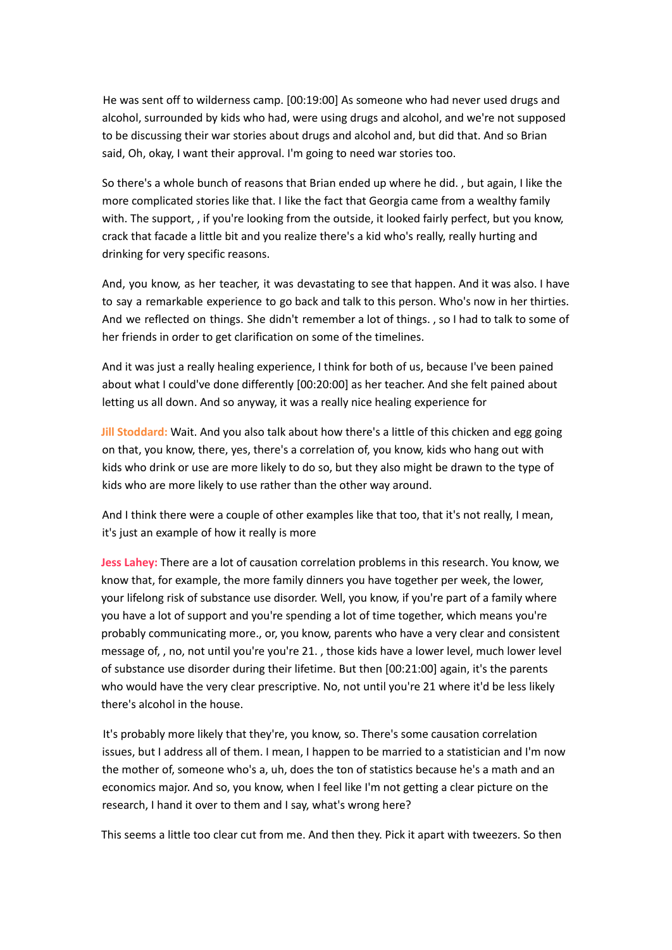He was sent off to wilderness camp. [00:19:00] As someone who had never used drugs and alcohol, surrounded by kids who had, were using drugs and alcohol, and we're not supposed to be discussing their war stories about drugs and alcohol and, but did that. And so Brian said, Oh, okay, I want their approval. I'm going to need war stories too.

So there's a whole bunch of reasons that Brian ended up where he did. , but again, I like the more complicated stories like that. I like the fact that Georgia came from a wealthy family with. The support, , if you're looking from the outside, it looked fairly perfect, but you know, crack that facade a little bit and you realize there's a kid who's really, really hurting and drinking for very specific reasons.

And, you know, as her teacher, it was devastating to see that happen. And it was also. I have to say a remarkable experience to go back and talk to this person. Who's now in her thirties. And we reflected on things. She didn't remember a lot of things. , so I had to talk to some of her friends in order to get clarification on some of the timelines.

And it was just a really healing experience, I think for both of us, because I've been pained about what I could've done differently [00:20:00] as her teacher. And she felt pained about letting us all down. And so anyway, it was a really nice healing experience for

**Jill Stoddard:** Wait. And you also talk about how there's a little of this chicken and egg going on that, you know, there, yes, there's a correlation of, you know, kids who hang out with kids who drink or use are more likely to do so, but they also might be drawn to the type of kids who are more likely to use rather than the other way around.

And I think there were a couple of other examples like that too, that it's not really, I mean, it's just an example of how it really is more

**Jess Lahey:** There are a lot of causation correlation problems in this research. You know, we know that, for example, the more family dinners you have together per week, the lower, your lifelong risk of substance use disorder. Well, you know, if you're part of a family where you have a lot of support and you're spending a lot of time together, which means you're probably communicating more., or, you know, parents who have a very clear and consistent message of, , no, not until you're you're 21. , those kids have a lower level, much lower level of substance use disorder during their lifetime. But then [00:21:00] again, it's the parents who would have the very clear prescriptive. No, not until you're 21 where it'd be less likely there's alcohol in the house.

It's probably more likely that they're, you know, so. There's some causation correlation issues, but I address all of them. I mean, I happen to be married to a statistician and I'm now the mother of, someone who's a, uh, does the ton of statistics because he's a math and an economics major. And so, you know, when I feel like I'm not getting a clear picture on the research, I hand it over to them and I say, what's wrong here?

This seems a little too clear cut from me. And then they. Pick it apart with tweezers. So then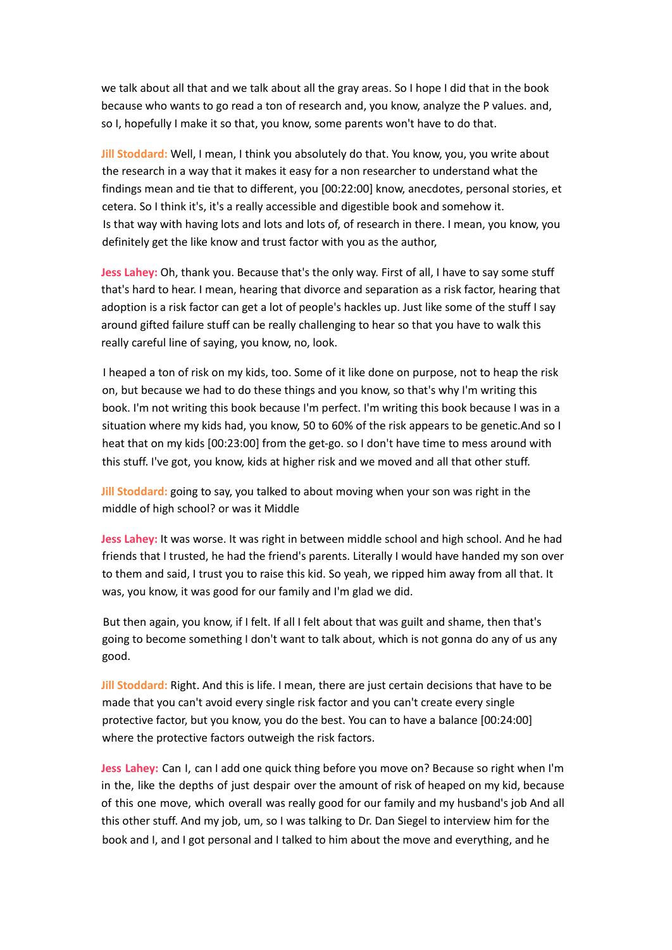we talk about all that and we talk about all the gray areas. So I hope I did that in the book because who wants to go read a ton of research and, you know, analyze the P values. and, so I, hopefully I make it so that, you know, some parents won't have to do that.

**Jill Stoddard:** Well, I mean, I think you absolutely do that. You know, you, you write about the research in a way that it makes it easy for a non researcher to understand what the findings mean and tie that to different, you [00:22:00] know, anecdotes, personal stories, et cetera. So I think it's, it's a really accessible and digestible book and somehow it. Is that way with having lots and lots and lots of, of research in there. I mean, you know, you definitely get the like know and trust factor with you as the author,

**Jess Lahey:** Oh, thank you. Because that's the only way. First of all, I have to say some stuff that's hard to hear. I mean, hearing that divorce and separation as a risk factor, hearing that adoption is a risk factor can get a lot of people's hackles up. Just like some of the stuff I say around gifted failure stuff can be really challenging to hear so that you have to walk this really careful line of saying, you know, no, look.

I heaped a ton of risk on my kids, too. Some of it like done on purpose, not to heap the risk on, but because we had to do these things and you know, so that's why I'm writing this book. I'm not writing this book because I'm perfect. I'm writing this book because I was in a situation where my kids had, you know, 50 to 60% of the risk appears to be genetic.And so I heat that on my kids [00:23:00] from the get-go. so I don't have time to mess around with this stuff. I've got, you know, kids at higher risk and we moved and all that other stuff.

**Jill Stoddard:** going to say, you talked to about moving when your son was right in the middle of high school? or was it Middle

**Jess Lahey:** It was worse. It was right in between middle school and high school. And he had friends that I trusted, he had the friend's parents. Literally I would have handed my son over to them and said, I trust you to raise this kid. So yeah, we ripped him away from all that. It was, you know, it was good for our family and I'm glad we did.

But then again, you know, if I felt. If all I felt about that was guilt and shame, then that's going to become something I don't want to talk about, which is not gonna do any of us any good.

**Jill Stoddard:** Right. And this is life. I mean, there are just certain decisions that have to be made that you can't avoid every single risk factor and you can't create every single protective factor, but you know, you do the best. You can to have a balance [00:24:00] where the protective factors outweigh the risk factors.

**Jess Lahey:** Can I, can I add one quick thing before you move on? Because so right when I'm in the, like the depths of just despair over the amount of risk of heaped on my kid, because of this one move, which overall was really good for our family and my husband's job And all this other stuff. And my job, um, so I was talking to Dr. Dan Siegel to interview him for the book and I, and I got personal and I talked to him about the move and everything, and he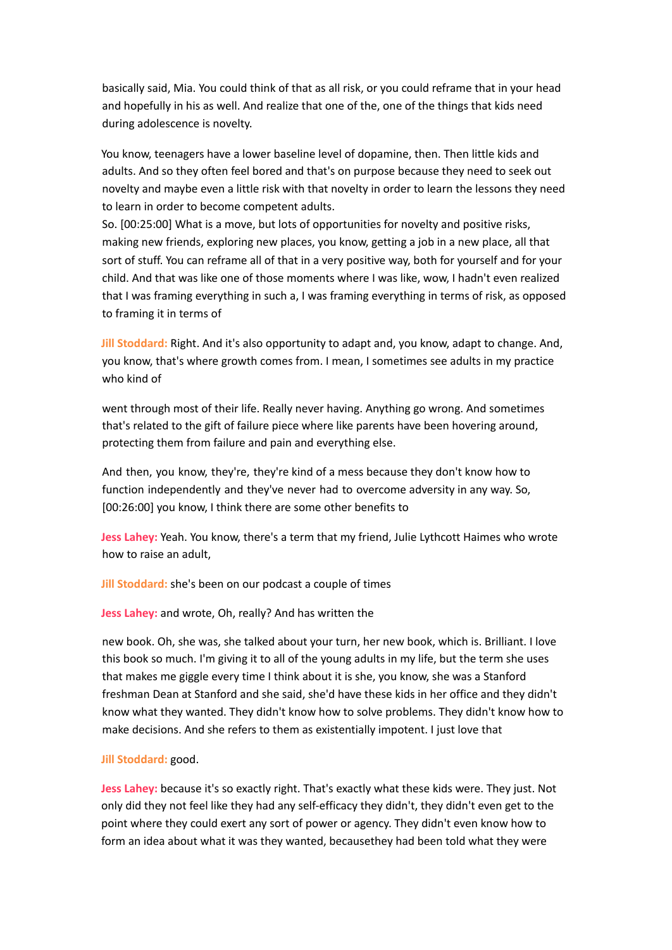basically said, Mia. You could think of that as all risk, or you could reframe that in your head and hopefully in his as well. And realize that one of the, one of the things that kids need during adolescence is novelty.

You know, teenagers have a lower baseline level of dopamine, then. Then little kids and adults. And so they often feel bored and that's on purpose because they need to seek out novelty and maybe even a little risk with that novelty in order to learn the lessons they need to learn in order to become competent adults.

So. [00:25:00] What is a move, but lots of opportunities for novelty and positive risks, making new friends, exploring new places, you know, getting a job in a new place, all that sort of stuff. You can reframe all of that in a very positive way, both for yourself and for your child. And that was like one of those moments where I was like, wow, I hadn't even realized that I was framing everything in such a, I was framing everything in terms of risk, as opposed to framing it in terms of

**Jill Stoddard:** Right. And it's also opportunity to adapt and, you know, adapt to change. And, you know, that's where growth comes from. I mean, I sometimes see adults in my practice who kind of

went through most of their life. Really never having. Anything go wrong. And sometimes that's related to the gift of failure piece where like parents have been hovering around, protecting them from failure and pain and everything else.

And then, you know, they're, they're kind of a mess because they don't know how to function independently and they've never had to overcome adversity in any way. So, [00:26:00] you know, I think there are some other benefits to

**Jess Lahey:** Yeah. You know, there's a term that my friend, Julie Lythcott Haimes who wrote how to raise an adult,

**Jill Stoddard:** she's been on our podcast a couple of times

**Jess Lahey:** and wrote, Oh, really? And has written the

new book. Oh, she was, she talked about your turn, her new book, which is. Brilliant. I love this book so much. I'm giving it to all of the young adults in my life, but the term she uses that makes me giggle every time I think about it is she, you know, she was a Stanford freshman Dean at Stanford and she said, she'd have these kids in her office and they didn't know what they wanted. They didn't know how to solve problems. They didn't know how to make decisions. And she refers to them as existentially impotent. I just love that

## **Jill Stoddard:** good.

**Jess Lahey:** because it's so exactly right. That's exactly what these kids were. They just. Not only did they not feel like they had any self-efficacy they didn't, they didn't even get to the point where they could exert any sort of power or agency. They didn't even know how to form an idea about what it was they wanted, becausethey had been told what they were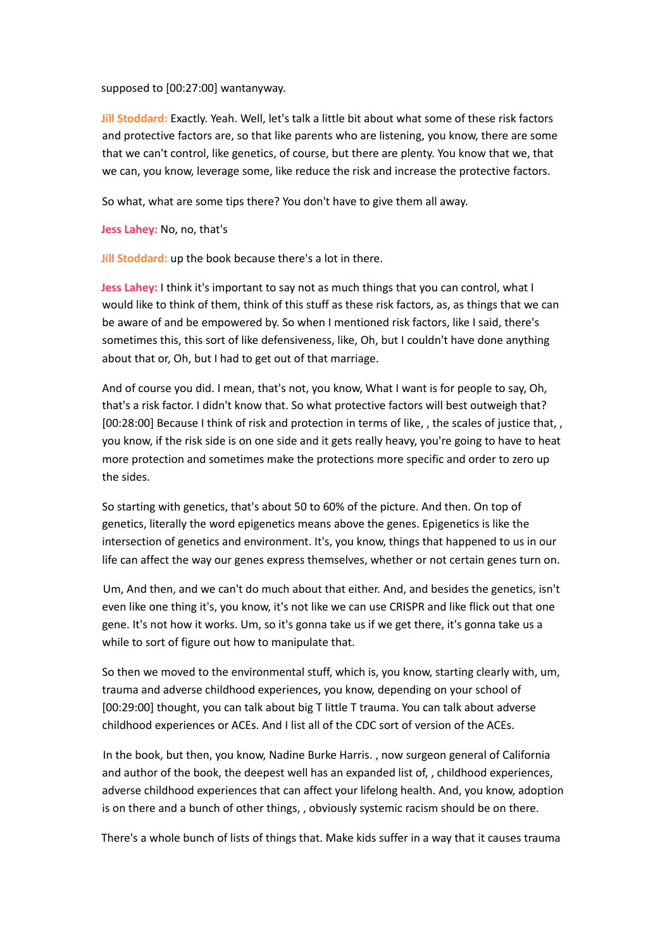supposed to [00:27:00] wantanyway.

**Jill Stoddard:** Exactly. Yeah. Well, let's talk a little bit about what some of these risk factors and protective factors are, so that like parents who are listening, you know, there are some that we can't control, like genetics, of course, but there are plenty. You know that we, that we can, you know, leverage some, like reduce the risk and increase the protective factors.

So what, what are some tips there? You don't have to give them all away.

**Jess Lahey:** No, no, that's

**Jill Stoddard:** up the book because there's a lot in there.

**Jess Lahey:** I think it's important to say not as much things that you can control, what I would like to think of them, think of this stuff as these risk factors, as, as things that we can be aware of and be empowered by. So when I mentioned risk factors, like I said, there's sometimes this, this sort of like defensiveness, like, Oh, but I couldn't have done anything about that or, Oh, but I had to get out of that marriage.

And of course you did. I mean, that's not, you know, What I want is for people to say, Oh, that's a risk factor. I didn't know that. So what protective factors will best outweigh that? [00:28:00] Because I think of risk and protection in terms of like, , the scales of justice that, , you know, if the risk side is on one side and it gets really heavy, you're going to have to heat more protection and sometimes make the protections more specific and order to zero up the sides.

So starting with genetics, that's about 50 to 60% of the picture. And then. On top of genetics, literally the word epigenetics means above the genes. Epigenetics is like the intersection of genetics and environment. It's, you know, things that happened to us in our life can affect the way our genes express themselves, whether or not certain genes turn on.

Um, And then, and we can't do much about that either. And, and besides the genetics, isn't even like one thing it's, you know, it's not like we can use CRISPR and like flick out that one gene. It's not how it works. Um, so it's gonna take us if we get there, it's gonna take us a while to sort of figure out how to manipulate that.

So then we moved to the environmental stuff, which is, you know, starting clearly with, um, trauma and adverse childhood experiences, you know, depending on your school of [00:29:00] thought, you can talk about big T little T trauma. You can talk about adverse childhood experiences or ACEs. And I list all of the CDC sort of version of the ACEs.

In the book, but then, you know, Nadine Burke Harris. , now surgeon general of California and author of the book, the deepest well has an expanded list of, , childhood experiences, adverse childhood experiences that can affect your lifelong health. And, you know, adoption is on there and a bunch of other things, , obviously systemic racism should be on there.

There's a whole bunch of lists of things that. Make kids suffer in a way that it causes trauma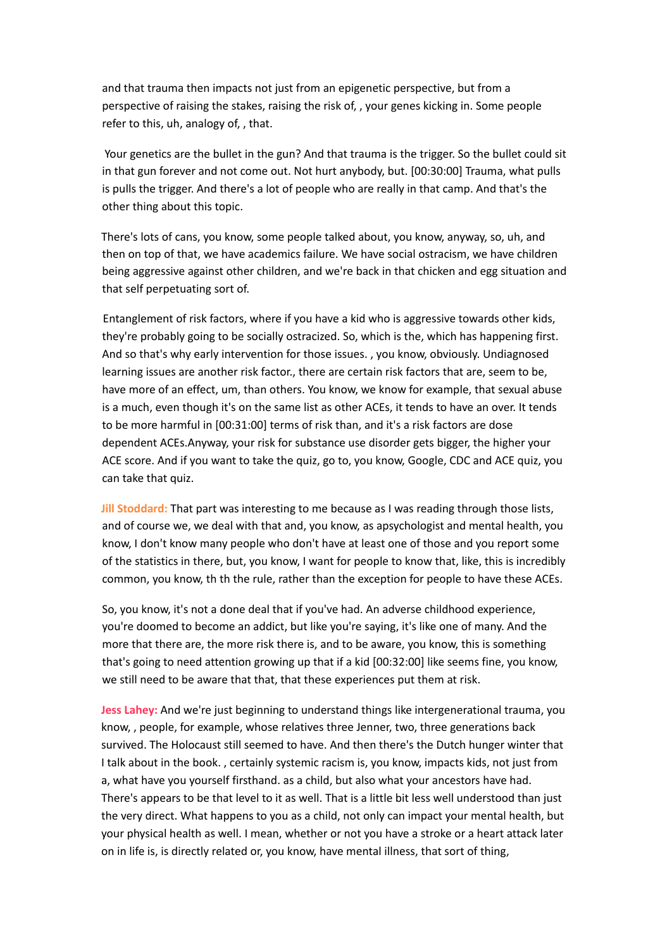and that trauma then impacts not just from an epigenetic perspective, but from a perspective of raising the stakes, raising the risk of, , your genes kicking in. Some people refer to this, uh, analogy of, , that.

Your genetics are the bullet in the gun? And that trauma is the trigger. So the bullet could sit in that gun forever and not come out. Not hurt anybody, but. [00:30:00] Trauma, what pulls is pulls the trigger. And there's a lot of people who are really in that camp. And that's the other thing about this topic.

There's lots of cans, you know, some people talked about, you know, anyway, so, uh, and then on top of that, we have academics failure. We have social ostracism, we have children being aggressive against other children, and we're back in that chicken and egg situation and that self perpetuating sort of.

Entanglement of risk factors, where if you have a kid who is aggressive towards other kids, they're probably going to be socially ostracized. So, which is the, which has happening first. And so that's why early intervention for those issues. , you know, obviously. Undiagnosed learning issues are another risk factor., there are certain risk factors that are, seem to be, have more of an effect, um, than others. You know, we know for example, that sexual abuse is a much, even though it's on the same list as other ACEs, it tends to have an over. It tends to be more harmful in [00:31:00] terms of risk than, and it's a risk factors are dose dependent ACEs.Anyway, your risk for substance use disorder gets bigger, the higher your ACE score. And if you want to take the quiz, go to, you know, Google, CDC and ACE quiz, you can take that quiz.

**Jill Stoddard:** That part was interesting to me because as I was reading through those lists, and of course we, we deal with that and, you know, as apsychologist and mental health, you know, I don't know many people who don't have at least one of those and you report some of the statistics in there, but, you know, I want for people to know that, like, this is incredibly common, you know, th th the rule, rather than the exception for people to have these ACEs.

So, you know, it's not a done deal that if you've had. An adverse childhood experience, you're doomed to become an addict, but like you're saying, it's like one of many. And the more that there are, the more risk there is, and to be aware, you know, this is something that's going to need attention growing up that if a kid [00:32:00] like seems fine, you know, we still need to be aware that that, that these experiences put them at risk.

**Jess Lahey:** And we're just beginning to understand things like intergenerational trauma, you know, , people, for example, whose relatives three Jenner, two, three generations back survived. The Holocaust still seemed to have. And then there's the Dutch hunger winter that I talk about in the book. , certainly systemic racism is, you know, impacts kids, not just from a, what have you yourself firsthand. as a child, but also what your ancestors have had. There's appears to be that level to it as well. That is a little bit less well understood than just the very direct. What happens to you as a child, not only can impact your mental health, but your physical health as well. I mean, whether or not you have a stroke or a heart attack later on in life is, is directly related or, you know, have mental illness, that sort of thing,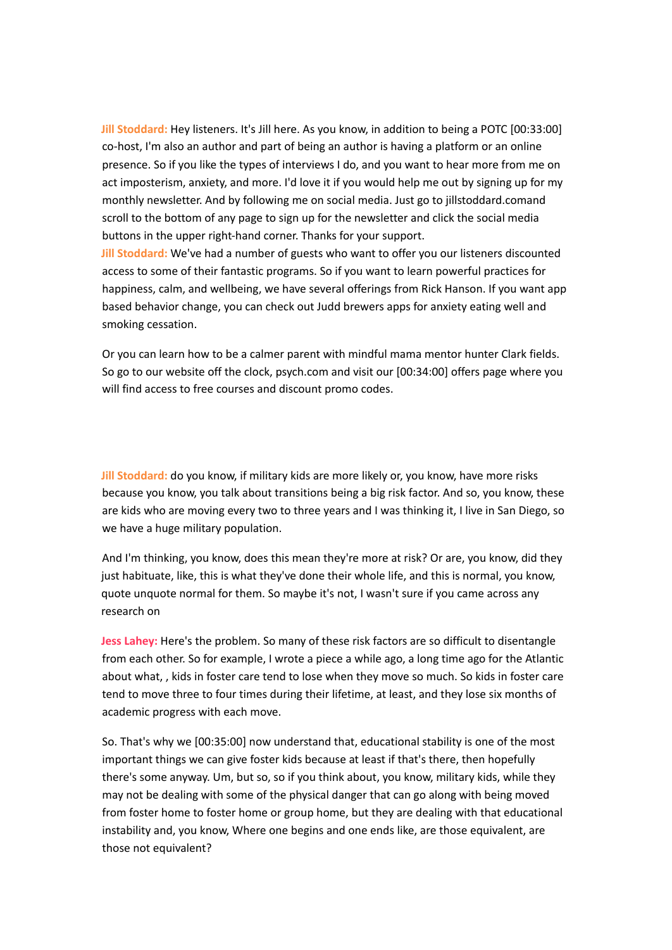**Jill Stoddard:** Hey listeners. It's Jill here. As you know, in addition to being a POTC [00:33:00] co-host, I'm also an author and part of being an author is having a platform or an online presence. So if you like the types of interviews I do, and you want to hear more from me on act imposterism, anxiety, and more. I'd love it if you would help me out by signing up for my monthly newsletter. And by following me on social media. Just go to jillstoddard.comand scroll to the bottom of any page to sign up for the newsletter and click the social media buttons in the upper right-hand corner. Thanks for your support.

**Jill Stoddard:** We've had a number of guests who want to offer you our listeners discounted access to some of their fantastic programs. So if you want to learn powerful practices for happiness, calm, and wellbeing, we have several offerings from Rick Hanson. If you want app based behavior change, you can check out Judd brewers apps for anxiety eating well and smoking cessation.

Or you can learn how to be a calmer parent with mindful mama mentor hunter Clark fields. So go to our website off the clock, psych.com and visit our [00:34:00] offers page where you will find access to free courses and discount promo codes.

**Jill Stoddard:** do you know, if military kids are more likely or, you know, have more risks because you know, you talk about transitions being a big risk factor. And so, you know, these are kids who are moving every two to three years and I was thinking it, I live in San Diego, so we have a huge military population.

And I'm thinking, you know, does this mean they're more at risk? Or are, you know, did they just habituate, like, this is what they've done their whole life, and this is normal, you know, quote unquote normal for them. So maybe it's not, I wasn't sure if you came across any research on

**Jess Lahey:** Here's the problem. So many of these risk factors are so difficult to disentangle from each other. So for example, I wrote a piece a while ago, a long time ago for the Atlantic about what, , kids in foster care tend to lose when they move so much. So kids in foster care tend to move three to four times during their lifetime, at least, and they lose six months of academic progress with each move.

So. That's why we [00:35:00] now understand that, educational stability is one of the most important things we can give foster kids because at least if that's there, then hopefully there's some anyway. Um, but so, so if you think about, you know, military kids, while they may not be dealing with some of the physical danger that can go along with being moved from foster home to foster home or group home, but they are dealing with that educational instability and, you know, Where one begins and one ends like, are those equivalent, are those not equivalent?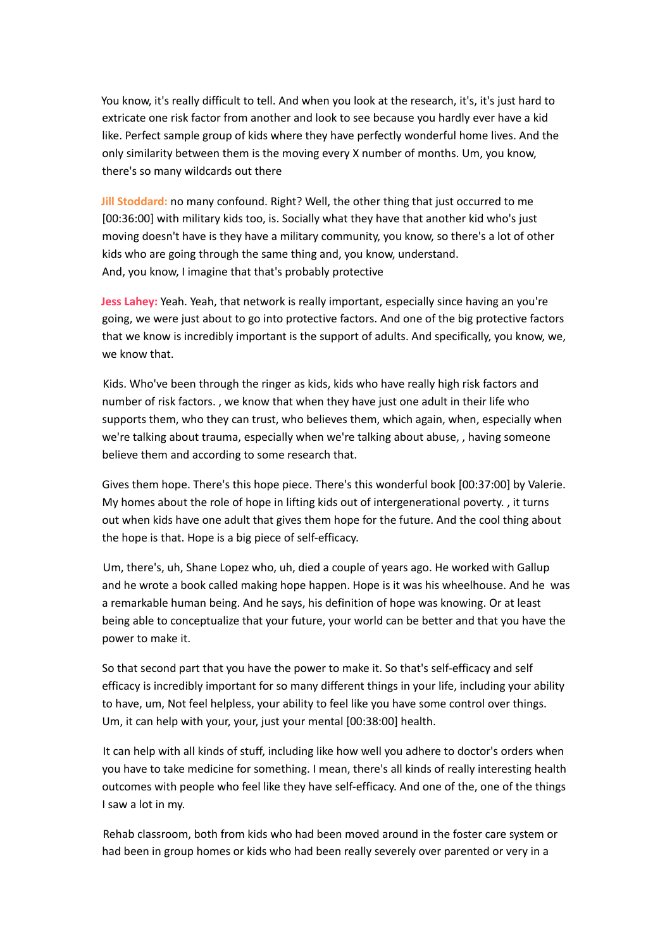You know, it's really difficult to tell. And when you look at the research, it's, it's just hard to extricate one risk factor from another and look to see because you hardly ever have a kid like. Perfect sample group of kids where they have perfectly wonderful home lives. And the only similarity between them is the moving every X number of months. Um, you know, there's so many wildcards out there

**Jill Stoddard:** no many confound. Right? Well, the other thing that just occurred to me [00:36:00] with military kids too, is. Socially what they have that another kid who's just moving doesn't have is they have a military community, you know, so there's a lot of other kids who are going through the same thing and, you know, understand. And, you know, I imagine that that's probably protective

**Jess Lahey:** Yeah. Yeah, that network is really important, especially since having an you're going, we were just about to go into protective factors. And one of the big protective factors that we know is incredibly important is the support of adults. And specifically, you know, we, we know that.

Kids. Who've been through the ringer as kids, kids who have really high risk factors and number of risk factors. , we know that when they have just one adult in their life who supports them, who they can trust, who believes them, which again, when, especially when we're talking about trauma, especially when we're talking about abuse, , having someone believe them and according to some research that.

Gives them hope. There's this hope piece. There's this wonderful book [00:37:00] by Valerie. My homes about the role of hope in lifting kids out of intergenerational poverty. , it turns out when kids have one adult that gives them hope for the future. And the cool thing about the hope is that. Hope is a big piece of self-efficacy.

Um, there's, uh, Shane Lopez who, uh, died a couple of years ago. He worked with Gallup and he wrote a book called making hope happen. Hope is it was his wheelhouse. And he was a remarkable human being. And he says, his definition of hope was knowing. Or at least being able to conceptualize that your future, your world can be better and that you have the power to make it.

So that second part that you have the power to make it. So that's self-efficacy and self efficacy is incredibly important for so many different things in your life, including your ability to have, um, Not feel helpless, your ability to feel like you have some control over things. Um, it can help with your, your, just your mental [00:38:00] health.

It can help with all kinds of stuff, including like how well you adhere to doctor's orders when you have to take medicine for something. I mean, there's all kinds of really interesting health outcomes with people who feel like they have self-efficacy. And one of the, one of the things I saw a lot in my.

Rehab classroom, both from kids who had been moved around in the foster care system or had been in group homes or kids who had been really severely over parented or very in a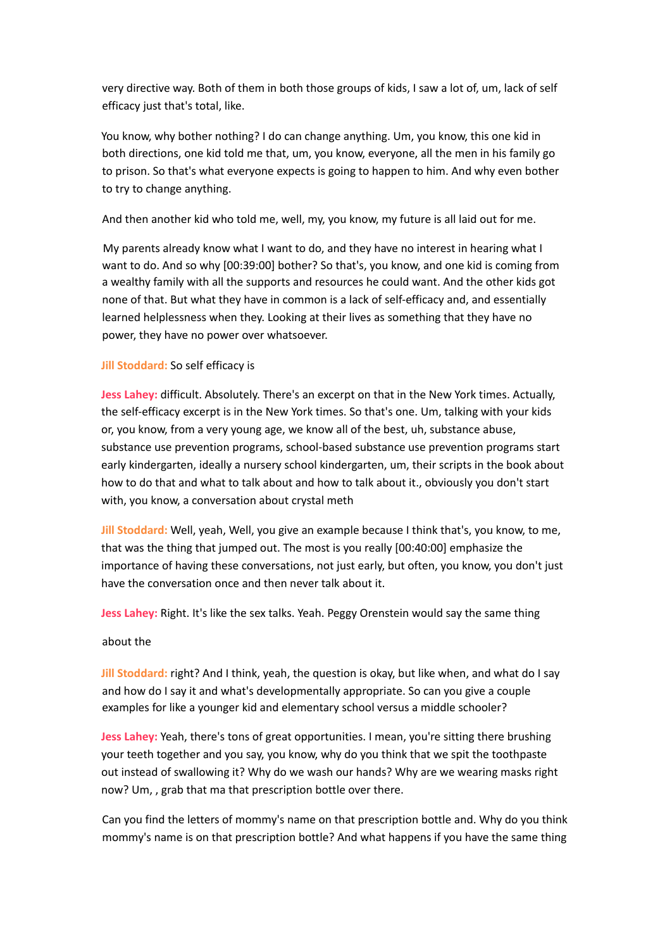very directive way. Both of them in both those groups of kids, I saw a lot of, um, lack of self efficacy just that's total, like.

You know, why bother nothing? I do can change anything. Um, you know, this one kid in both directions, one kid told me that, um, you know, everyone, all the men in his family go to prison. So that's what everyone expects is going to happen to him. And why even bother to try to change anything.

And then another kid who told me, well, my, you know, my future is all laid out for me.

My parents already know what I want to do, and they have no interest in hearing what I want to do. And so why [00:39:00] bother? So that's, you know, and one kid is coming from a wealthy family with all the supports and resources he could want. And the other kids got none of that. But what they have in common is a lack of self-efficacy and, and essentially learned helplessness when they. Looking at their lives as something that they have no power, they have no power over whatsoever.

# **Jill Stoddard:** So self efficacy is

**Jess Lahey:** difficult. Absolutely. There's an excerpt on that in the New York times. Actually, the self-efficacy excerpt is in the New York times. So that's one. Um, talking with your kids or, you know, from a very young age, we know all of the best, uh, substance abuse, substance use prevention programs, school-based substance use prevention programs start early kindergarten, ideally a nursery school kindergarten, um, their scripts in the book about how to do that and what to talk about and how to talk about it., obviously you don't start with, you know, a conversation about crystal meth

**Jill Stoddard:** Well, yeah, Well, you give an example because I think that's, you know, to me, that was the thing that jumped out. The most is you really [00:40:00] emphasize the importance of having these conversations, not just early, but often, you know, you don't just have the conversation once and then never talk about it.

**Jess Lahey:** Right. It's like the sex talks. Yeah. Peggy Orenstein would say the same thing

# about the

**Jill Stoddard:** right? And I think, yeah, the question is okay, but like when, and what do I say and how do I say it and what's developmentally appropriate. So can you give a couple examples for like a younger kid and elementary school versus a middle schooler?

**Jess Lahey:** Yeah, there's tons of great opportunities. I mean, you're sitting there brushing your teeth together and you say, you know, why do you think that we spit the toothpaste out instead of swallowing it? Why do we wash our hands? Why are we wearing masks right now? Um, , grab that ma that prescription bottle over there.

Can you find the letters of mommy's name on that prescription bottle and. Why do you think mommy's name is on that prescription bottle? And what happens if you have the same thing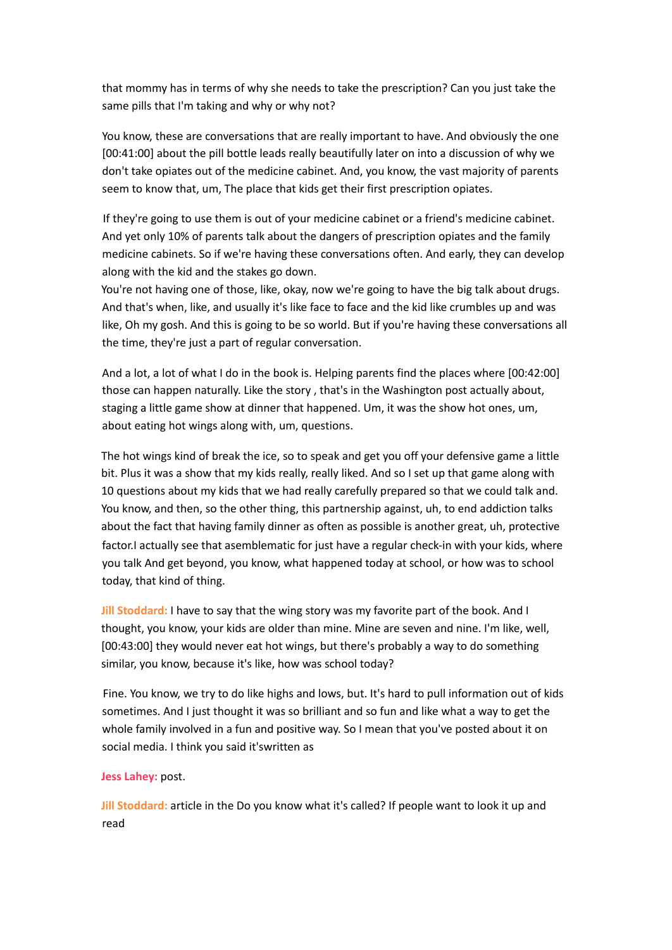that mommy has in terms of why she needs to take the prescription? Can you just take the same pills that I'm taking and why or why not?

You know, these are conversations that are really important to have. And obviously the one [00:41:00] about the pill bottle leads really beautifully later on into a discussion of why we don't take opiates out of the medicine cabinet. And, you know, the vast majority of parents seem to know that, um, The place that kids get their first prescription opiates.

If they're going to use them is out of your medicine cabinet or a friend's medicine cabinet. And yet only 10% of parents talk about the dangers of prescription opiates and the family medicine cabinets. So if we're having these conversations often. And early, they can develop along with the kid and the stakes go down.

You're not having one of those, like, okay, now we're going to have the big talk about drugs. And that's when, like, and usually it's like face to face and the kid like crumbles up and was like, Oh my gosh. And this is going to be so world. But if you're having these conversations all the time, they're just a part of regular conversation.

And a lot, a lot of what I do in the book is. Helping parents find the places where [00:42:00] those can happen naturally. Like the story , that's in the Washington post actually about, staging a little game show at dinner that happened. Um, it was the show hot ones, um, about eating hot wings along with, um, questions.

The hot wings kind of break the ice, so to speak and get you off your defensive game a little bit. Plus it was a show that my kids really, really liked. And so I set up that game along with 10 questions about my kids that we had really carefully prepared so that we could talk and. You know, and then, so the other thing, this partnership against, uh, to end addiction talks about the fact that having family dinner as often as possible is another great, uh, protective factor.I actually see that asemblematic for just have a regular check-in with your kids, where you talk And get beyond, you know, what happened today at school, or how was to school today, that kind of thing.

**Jill Stoddard:** I have to say that the wing story was my favorite part of the book. And I thought, you know, your kids are older than mine. Mine are seven and nine. I'm like, well, [00:43:00] they would never eat hot wings, but there's probably a way to do something similar, you know, because it's like, how was school today?

Fine. You know, we try to do like highs and lows, but. It's hard to pull information out of kids sometimes. And I just thought it was so brilliant and so fun and like what a way to get the whole family involved in a fun and positive way. So I mean that you've posted about it on social media. I think you said it'swritten as

# **Jess Lahey:** post.

**Jill Stoddard:** article in the Do you know what it's called? If people want to look it up and read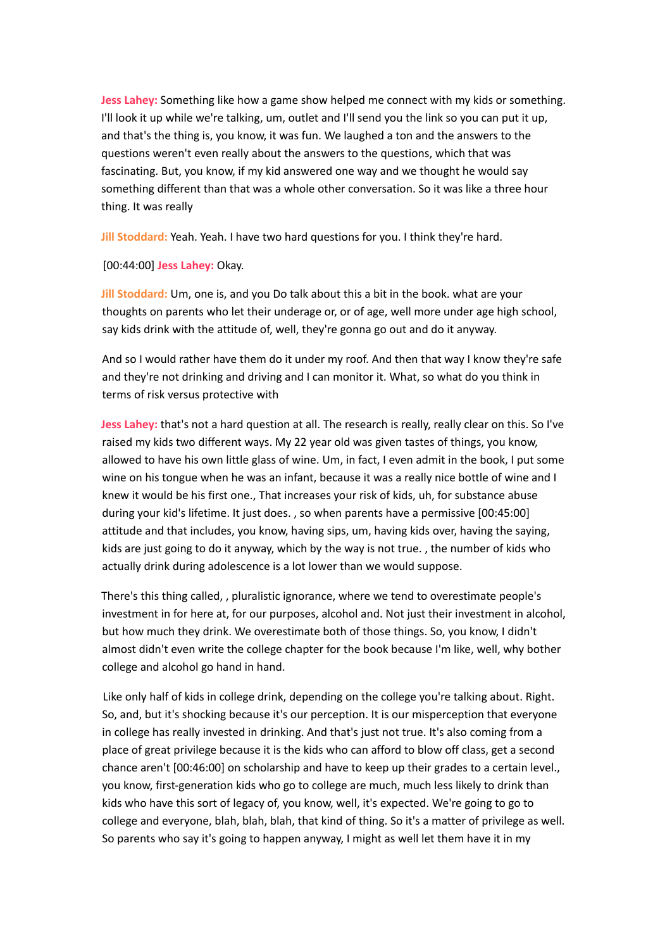**Jess Lahey:** Something like how a game show helped me connect with my kids or something. I'll look it up while we're talking, um, outlet and I'll send you the link so you can put it up, and that's the thing is, you know, it was fun. We laughed a ton and the answers to the questions weren't even really about the answers to the questions, which that was fascinating. But, you know, if my kid answered one way and we thought he would say something different than that was a whole other conversation. So it was like a three hour thing. It was really

**Jill Stoddard:** Yeah. Yeah. I have two hard questions for you. I think they're hard.

[00:44:00] **Jess Lahey:** Okay.

**Jill Stoddard:** Um, one is, and you Do talk about this a bit in the book. what are your thoughts on parents who let their underage or, or of age, well more under age high school, say kids drink with the attitude of, well, they're gonna go out and do it anyway.

And so I would rather have them do it under my roof. And then that way I know they're safe and they're not drinking and driving and I can monitor it. What, so what do you think in terms of risk versus protective with

**Jess Lahey:** that's not a hard question at all. The research is really, really clear on this. So I've raised my kids two different ways. My 22 year old was given tastes of things, you know, allowed to have his own little glass of wine. Um, in fact, I even admit in the book, I put some wine on his tongue when he was an infant, because it was a really nice bottle of wine and I knew it would be his first one., That increases your risk of kids, uh, for substance abuse during your kid's lifetime. It just does. , so when parents have a permissive [00:45:00] attitude and that includes, you know, having sips, um, having kids over, having the saying, kids are just going to do it anyway, which by the way is not true. , the number of kids who actually drink during adolescence is a lot lower than we would suppose.

There's this thing called, , pluralistic ignorance, where we tend to overestimate people's investment in for here at, for our purposes, alcohol and. Not just their investment in alcohol, but how much they drink. We overestimate both of those things. So, you know, I didn't almost didn't even write the college chapter for the book because I'm like, well, why bother college and alcohol go hand in hand.

Like only half of kids in college drink, depending on the college you're talking about. Right. So, and, but it's shocking because it's our perception. It is our misperception that everyone in college has really invested in drinking. And that's just not true. It's also coming from a place of great privilege because it is the kids who can afford to blow off class, get a second chance aren't [00:46:00] on scholarship and have to keep up their grades to a certain level., you know, first-generation kids who go to college are much, much less likely to drink than kids who have this sort of legacy of, you know, well, it's expected. We're going to go to college and everyone, blah, blah, blah, that kind of thing. So it's a matter of privilege as well. So parents who say it's going to happen anyway, I might as well let them have it in my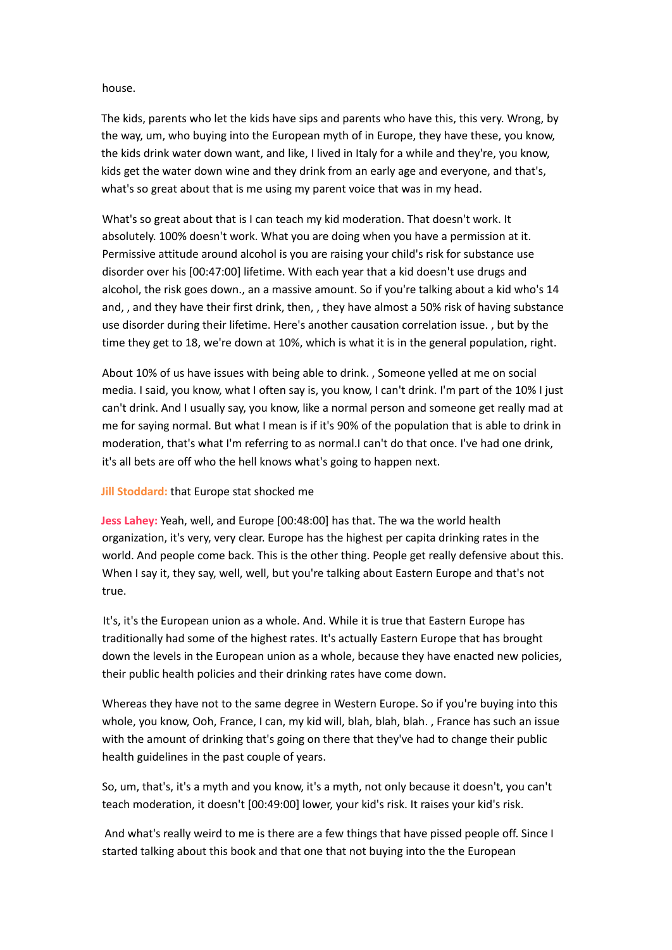## house.

The kids, parents who let the kids have sips and parents who have this, this very. Wrong, by the way, um, who buying into the European myth of in Europe, they have these, you know, the kids drink water down want, and like, I lived in Italy for a while and they're, you know, kids get the water down wine and they drink from an early age and everyone, and that's, what's so great about that is me using my parent voice that was in my head.

What's so great about that is I can teach my kid moderation. That doesn't work. It absolutely. 100% doesn't work. What you are doing when you have a permission at it. Permissive attitude around alcohol is you are raising your child's risk for substance use disorder over his [00:47:00] lifetime. With each year that a kid doesn't use drugs and alcohol, the risk goes down., an a massive amount. So if you're talking about a kid who's 14 and, , and they have their first drink, then, , they have almost a 50% risk of having substance use disorder during their lifetime. Here's another causation correlation issue. , but by the time they get to 18, we're down at 10%, which is what it is in the general population, right.

About 10% of us have issues with being able to drink. , Someone yelled at me on social media. I said, you know, what I often say is, you know, I can't drink. I'm part of the 10% I just can't drink. And I usually say, you know, like a normal person and someone get really mad at me for saying normal. But what I mean is if it's 90% of the population that is able to drink in moderation, that's what I'm referring to as normal.I can't do that once. I've had one drink, it's all bets are off who the hell knows what's going to happen next.

# **Jill Stoddard:** that Europe stat shocked me

**Jess Lahey:** Yeah, well, and Europe [00:48:00] has that. The wa the world health organization, it's very, very clear. Europe has the highest per capita drinking rates in the world. And people come back. This is the other thing. People get really defensive about this. When I say it, they say, well, well, but you're talking about Eastern Europe and that's not true.

It's, it's the European union as a whole. And. While it is true that Eastern Europe has traditionally had some of the highest rates. It's actually Eastern Europe that has brought down the levels in the European union as a whole, because they have enacted new policies, their public health policies and their drinking rates have come down.

Whereas they have not to the same degree in Western Europe. So if you're buying into this whole, you know, Ooh, France, I can, my kid will, blah, blah, blah. , France has such an issue with the amount of drinking that's going on there that they've had to change their public health guidelines in the past couple of years.

So, um, that's, it's a myth and you know, it's a myth, not only because it doesn't, you can't teach moderation, it doesn't [00:49:00] lower, your kid's risk. It raises your kid's risk.

And what's really weird to me is there are a few things that have pissed people off. Since I started talking about this book and that one that not buying into the the European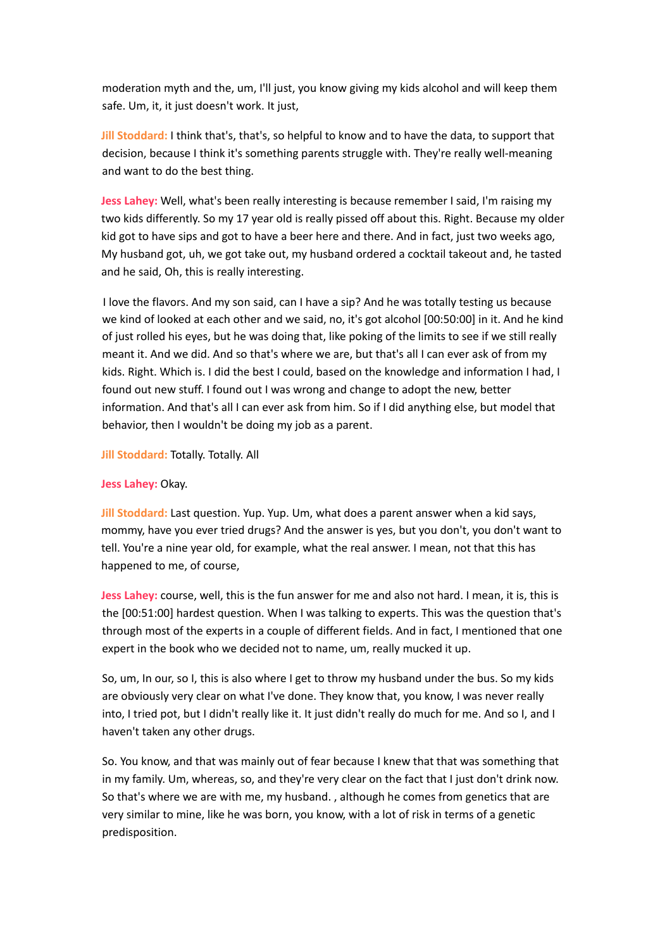moderation myth and the, um, I'll just, you know giving my kids alcohol and will keep them safe. Um, it, it just doesn't work. It just,

**Jill Stoddard:** I think that's, that's, so helpful to know and to have the data, to support that decision, because I think it's something parents struggle with. They're really well-meaning and want to do the best thing.

**Jess Lahey:** Well, what's been really interesting is because remember I said, I'm raising my two kids differently. So my 17 year old is really pissed off about this. Right. Because my older kid got to have sips and got to have a beer here and there. And in fact, just two weeks ago, My husband got, uh, we got take out, my husband ordered a cocktail takeout and, he tasted and he said, Oh, this is really interesting.

I love the flavors. And my son said, can I have a sip? And he was totally testing us because we kind of looked at each other and we said, no, it's got alcohol [00:50:00] in it. And he kind of just rolled his eyes, but he was doing that, like poking of the limits to see if we still really meant it. And we did. And so that's where we are, but that's all I can ever ask of from my kids. Right. Which is. I did the best I could, based on the knowledge and information I had, I found out new stuff. I found out I was wrong and change to adopt the new, better information. And that's all I can ever ask from him. So if I did anything else, but model that behavior, then I wouldn't be doing my job as a parent.

## **Jill Stoddard:** Totally. Totally. All

## **Jess Lahey:** Okay.

**Jill Stoddard:** Last question. Yup. Yup. Um, what does a parent answer when a kid says, mommy, have you ever tried drugs? And the answer is yes, but you don't, you don't want to tell. You're a nine year old, for example, what the real answer. I mean, not that this has happened to me, of course,

**Jess Lahey:** course, well, this is the fun answer for me and also not hard. I mean, it is, this is the [00:51:00] hardest question. When I was talking to experts. This was the question that's through most of the experts in a couple of different fields. And in fact, I mentioned that one expert in the book who we decided not to name, um, really mucked it up.

So, um, In our, so I, this is also where I get to throw my husband under the bus. So my kids are obviously very clear on what I've done. They know that, you know, I was never really into, I tried pot, but I didn't really like it. It just didn't really do much for me. And so I, and I haven't taken any other drugs.

So. You know, and that was mainly out of fear because I knew that that was something that in my family. Um, whereas, so, and they're very clear on the fact that I just don't drink now. So that's where we are with me, my husband. , although he comes from genetics that are very similar to mine, like he was born, you know, with a lot of risk in terms of a genetic predisposition.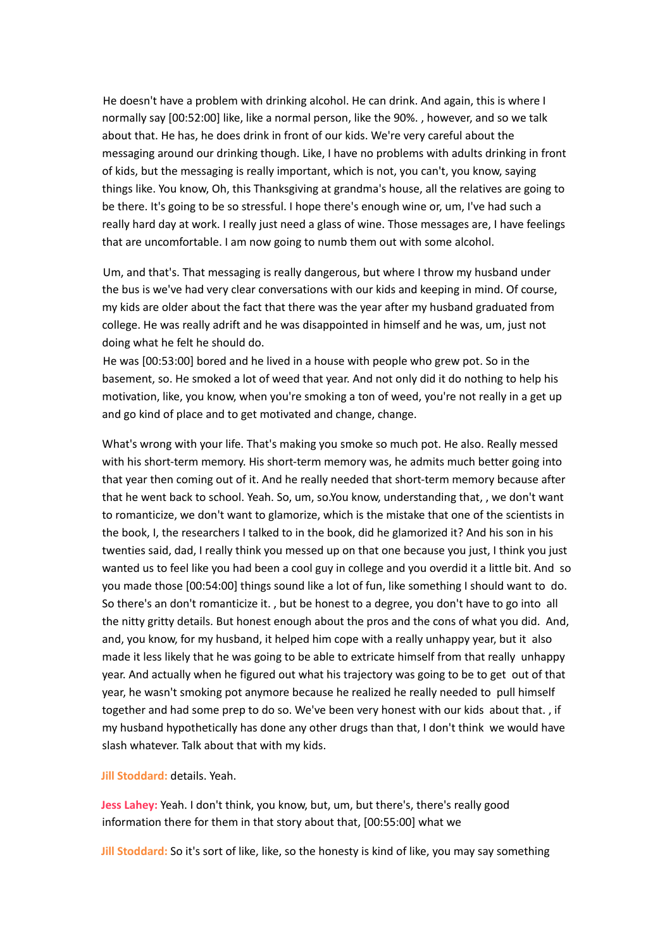He doesn't have a problem with drinking alcohol. He can drink. And again, this is where I normally say [00:52:00] like, like a normal person, like the 90%. , however, and so we talk about that. He has, he does drink in front of our kids. We're very careful about the messaging around our drinking though. Like, I have no problems with adults drinking in front of kids, but the messaging is really important, which is not, you can't, you know, saying things like. You know, Oh, this Thanksgiving at grandma's house, all the relatives are going to be there. It's going to be so stressful. I hope there's enough wine or, um, I've had such a really hard day at work. I really just need a glass of wine. Those messages are, I have feelings that are uncomfortable. I am now going to numb them out with some alcohol.

Um, and that's. That messaging is really dangerous, but where I throw my husband under the bus is we've had very clear conversations with our kids and keeping in mind. Of course, my kids are older about the fact that there was the year after my husband graduated from college. He was really adrift and he was disappointed in himself and he was, um, just not doing what he felt he should do.

He was [00:53:00] bored and he lived in a house with people who grew pot. So in the basement, so. He smoked a lot of weed that year. And not only did it do nothing to help his motivation, like, you know, when you're smoking a ton of weed, you're not really in a get up and go kind of place and to get motivated and change, change.

What's wrong with your life. That's making you smoke so much pot. He also. Really messed with his short-term memory. His short-term memory was, he admits much better going into that year then coming out of it. And he really needed that short-term memory because after that he went back to school. Yeah. So, um, so.You know, understanding that, , we don't want to romanticize, we don't want to glamorize, which is the mistake that one of the scientists in the book, I, the researchers I talked to in the book, did he glamorized it? And his son in his twenties said, dad, I really think you messed up on that one because you just, I think you just wanted us to feel like you had been a cool guy in college and you overdid it a little bit. And so you made those [00:54:00] things sound like a lot of fun, like something I should want to do. So there's an don't romanticize it. , but be honest to a degree, you don't have to go into all the nitty gritty details. But honest enough about the pros and the cons of what you did. And, and, you know, for my husband, it helped him cope with a really unhappy year, but it also made it less likely that he was going to be able to extricate himself from that really unhappy year. And actually when he figured out what his trajectory was going to be to get out of that year, he wasn't smoking pot anymore because he realized he really needed to pull himself together and had some prep to do so. We've been very honest with our kids about that. , if my husband hypothetically has done any other drugs than that, I don't think we would have slash whatever. Talk about that with my kids.

#### **Jill Stoddard:** details. Yeah.

**Jess Lahey:** Yeah. I don't think, you know, but, um, but there's, there's really good information there for them in that story about that, [00:55:00] what we

**Jill Stoddard:** So it's sort of like, like, so the honesty is kind of like, you may say something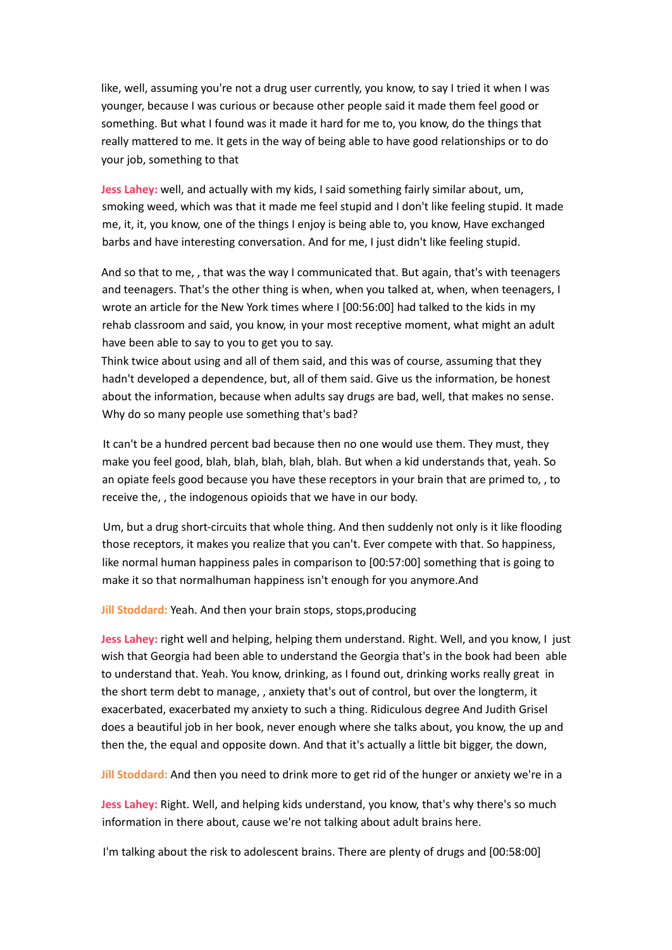like, well, assuming you're not a drug user currently, you know, to say I tried it when I was younger, because I was curious or because other people said it made them feel good or something. But what I found was it made it hard for me to, you know, do the things that really mattered to me. It gets in the way of being able to have good relationships or to do your job, something to that

**Jess Lahey:** well, and actually with my kids, I said something fairly similar about, um, smoking weed, which was that it made me feel stupid and I don't like feeling stupid. It made me, it, it, you know, one of the things I enjoy is being able to, you know, Have exchanged barbs and have interesting conversation. And for me, I just didn't like feeling stupid.

And so that to me, , that was the way I communicated that. But again, that's with teenagers and teenagers. That's the other thing is when, when you talked at, when, when teenagers, I wrote an article for the New York times where I [00:56:00] had talked to the kids in my rehab classroom and said, you know, in your most receptive moment, what might an adult have been able to say to you to get you to say.

Think twice about using and all of them said, and this was of course, assuming that they hadn't developed a dependence, but, all of them said. Give us the information, be honest about the information, because when adults say drugs are bad, well, that makes no sense. Why do so many people use something that's bad?

It can't be a hundred percent bad because then no one would use them. They must, they make you feel good, blah, blah, blah, blah, blah. But when a kid understands that, yeah. So an opiate feels good because you have these receptors in your brain that are primed to, , to receive the, , the indogenous opioids that we have in our body.

Um, but a drug short-circuits that whole thing. And then suddenly not only is it like flooding those receptors, it makes you realize that you can't. Ever compete with that. So happiness, like normal human happiness pales in comparison to [00:57:00] something that is going to make it so that normalhuman happiness isn't enough for you anymore.And

**Jill Stoddard:** Yeah. And then your brain stops, stops,producing

**Jess Lahey:** right well and helping, helping them understand. Right. Well, and you know, I just wish that Georgia had been able to understand the Georgia that's in the book had been able to understand that. Yeah. You know, drinking, as I found out, drinking works really great in the short term debt to manage, , anxiety that's out of control, but over the longterm, it exacerbated, exacerbated my anxiety to such a thing. Ridiculous degree And Judith Grisel does a beautiful job in her book, never enough where she talks about, you know, the up and then the, the equal and opposite down. And that it's actually a little bit bigger, the down,

**Jill Stoddard:** And then you need to drink more to get rid of the hunger or anxiety we're in a

**Jess Lahey:** Right. Well, and helping kids understand, you know, that's why there's so much information in there about, cause we're not talking about adult brains here.

I'm talking about the risk to adolescent brains. There are plenty of drugs and [00:58:00]